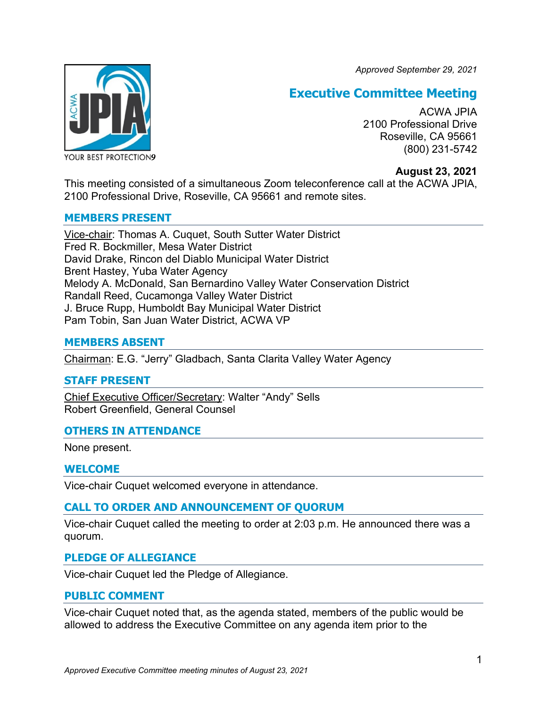*Approved September 29, 2021*



# **Executive Committee Meeting**

ACWA JPIA 2100 Professional Drive Roseville, CA 95661 (800) 231-5742

## **August 23, 2021**

This meeting consisted of a simultaneous Zoom teleconference call at the ACWA JPIA, 2100 Professional Drive, Roseville, CA 95661 and remote sites.

#### **MEMBERS PRESENT**

Vice-chair: Thomas A. Cuquet, South Sutter Water District Fred R. Bockmiller, Mesa Water District David Drake, Rincon del Diablo Municipal Water District Brent Hastey, Yuba Water Agency Melody A. McDonald, San Bernardino Valley Water Conservation District Randall Reed, Cucamonga Valley Water District J. Bruce Rupp, Humboldt Bay Municipal Water District Pam Tobin, San Juan Water District, ACWA VP

## **MEMBERS ABSENT**

Chairman: E.G. "Jerry" Gladbach, Santa Clarita Valley Water Agency

## **STAFF PRESENT**

Chief Executive Officer/Secretary: Walter "Andy" Sells Robert Greenfield, General Counsel

## **OTHERS IN ATTENDANCE**

None present.

#### **WELCOME**

Vice-chair Cuquet welcomed everyone in attendance.

## **CALL TO ORDER AND ANNOUNCEMENT OF QUORUM**

Vice-chair Cuquet called the meeting to order at 2:03 p.m. He announced there was a quorum.

#### **PLEDGE OF ALLEGIANCE**

Vice-chair Cuquet led the Pledge of Allegiance.

#### **PUBLIC COMMENT**

Vice-chair Cuquet noted that, as the agenda stated, members of the public would be allowed to address the Executive Committee on any agenda item prior to the